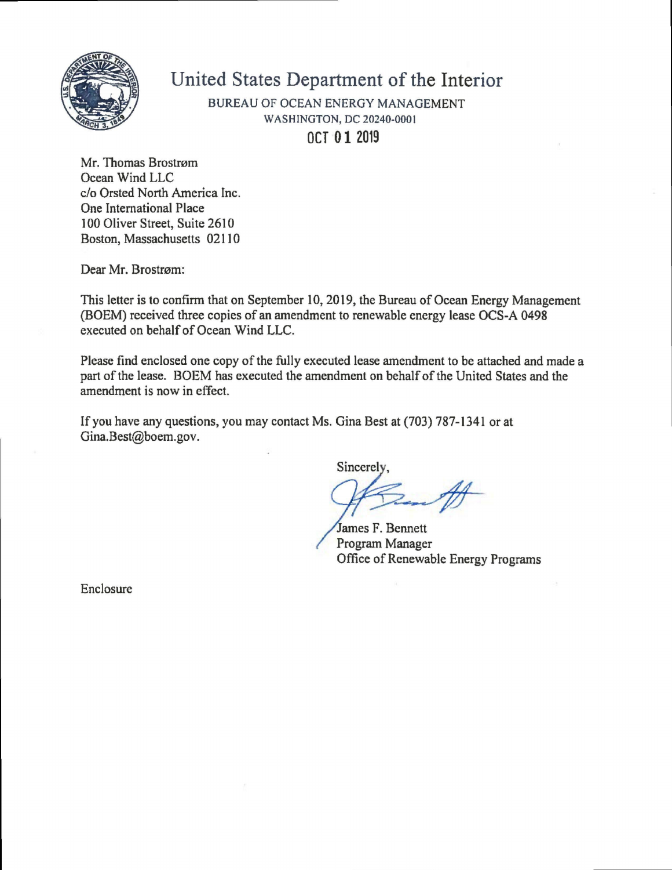

## **United States Department of the Interior**

BUREAU OF OCEAN ENERGY MANAGEMENT WASHINGTON, DC 20240-0001 **OCT 01 2019** 

Mr. Thomas Brostram Ocean Wind LLC c/o Orsted North America Inc. One Intemational Place 100 Oliver Street, Suite 2610 Boston, Massachusetts 02110

Dear Mr. Brostrøm:

This letter is to confirm that on September 10,2019, the Bureau of Ocean Energy Management (BOEM) received three copies of an amendment to renewable energy lease OCS-A 0498 executed on behalf of Ocean Wind LLC.

Please find enclosed one copy of the fully executed lease amendment to be attached and made a part of the lease. BOEM has executed the amendment on behalf of the United States and the amendment is now in effect.

If you have any questions, you may contact Ms. Gina Best at (703) 787-1341 or at Gina.Best@boem.gov.

**Sincerely** 

**#** 

James F. Bennett Program Manager Office of Renewable Energy Programs

Enclosure